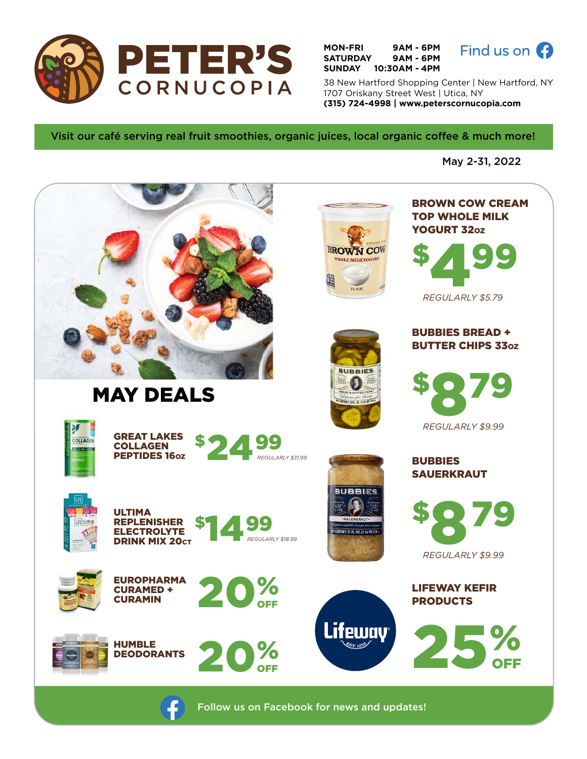

**MON-FRI 9AM - 6PM SATURDAY 9AM - 6PM SUNDAY 10:30AM - 4PM**



38 New Hartford Shopping Center | New Hartford, NY 1707 Oriskany Street West | Utica, NY **(315) 724-4998 | www.peterscornucopia.com**

Visit our café serving real fruit smoothies, organic juices, local organic coffee & much more!

May 2-31, 2022



Follow us on Facebook for news and updates!